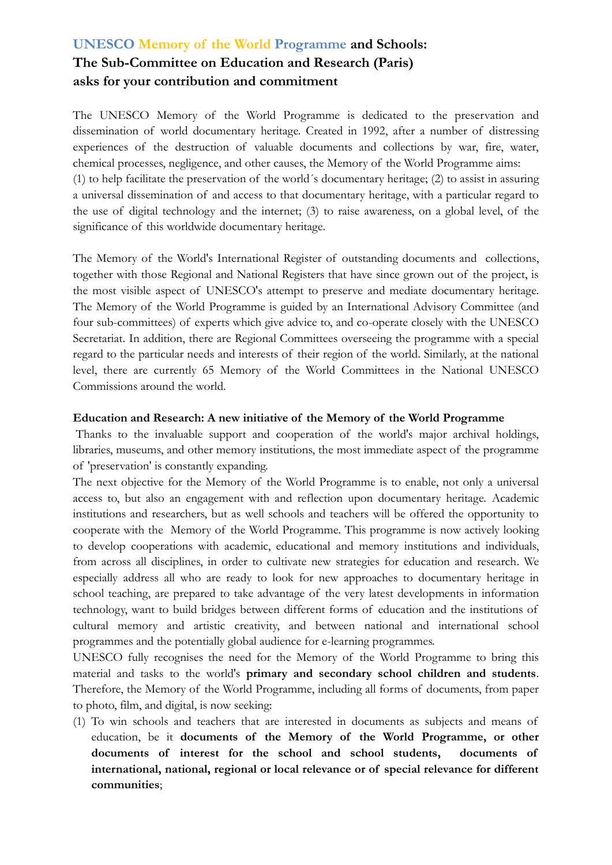# **UNESCO Memory of the World Programme and Schools: The Sub-Committee on Education and Research (Paris) asks for your contribution and commitment**

The UNESCO Memory of the World Programme is dedicated to the preservation and dissemination of world documentary heritage. Created in 1992, after a number of distressing experiences of the destruction of valuable documents and collections by war, fire, water, chemical processes, negligence, and other causes, the Memory of the World Programme aims: (1) to help facilitate the preservation of the world´s documentary heritage; (2) to assist in assuring a universal dissemination of and access to that documentary heritage, with a particular regard to the use of digital technology and the internet; (3) to raise awareness, on a global level, of the significance of this worldwide documentary heritage.

The Memory of the World's International Register of outstanding documents and collections, together with those Regional and National Registers that have since grown out of the project, is the most visible aspect of UNESCO's attempt to preserve and mediate documentary heritage. The Memory of the World Programme is guided by an International Advisory Committee (and four sub-committees) of experts which give advice to, and co-operate closely with the UNESCO Secretariat. In addition, there are Regional Committees overseeing the programme with a special regard to the particular needs and interests of their region of the world. Similarly, at the national level, there are currently 65 Memory of the World Committees in the National UNESCO Commissions around the world.

### **Education and Research: A new initiative of the Memory of the World Programme**

Thanks to the invaluable support and cooperation of the world's major archival holdings, libraries, museums, and other memory institutions, the most immediate aspect of the programme of 'preservation' is constantly expanding.

The next objective for the Memory of the World Programme is to enable, not only a universal access to, but also an engagement with and reflection upon documentary heritage. Academic institutions and researchers, but as well schools and teachers will be offered the opportunity to cooperate with the Memory of the World Programme. This programme is now actively looking to develop cooperations with academic, educational and memory institutions and individuals, from across all disciplines, in order to cultivate new strategies for education and research. We especially address all who are ready to look for new approaches to documentary heritage in school teaching, are prepared to take advantage of the very latest developments in information technology, want to build bridges between different forms of education and the institutions of cultural memory and artistic creativity, and between national and international school programmes and the potentially global audience for e-learning programmes.

UNESCO fully recognises the need for the Memory of the World Programme to bring this material and tasks to the world's **primary and secondary school children and students**. Therefore, the Memory of the World Programme, including all forms of documents, from paper to photo, film, and digital, is now seeking:

(1) To win schools and teachers that are interested in documents as subjects and means of education, be it **documents of the Memory of the World Programme, or other documents of interest for the school and school students, documents of international, national, regional or local relevance or of special relevance for different communities**;